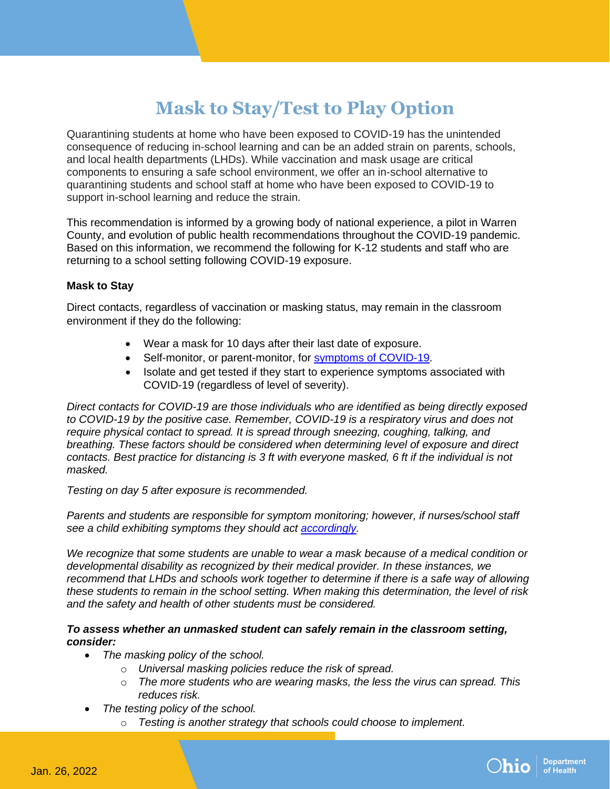# **Mask to Stay/Test to Play Option**

Quarantining students at home who have been exposed to COVID-19 has the unintended consequence of reducing in-school learning and can be an added strain on parents, schools, and local health departments (LHDs). While vaccination and mask usage are critical components to ensuring a safe school environment, we offer an in-school alternative to quarantining students and school staff at home who have been exposed to COVID-19 to support in-school learning and reduce the strain.

This recommendation is informed by a growing body of national experience, a pilot in Warren County, and evolution of public health recommendations throughout the COVID-19 pandemic. Based on this information, we recommend the following for K-12 students and staff who are returning to a school setting following COVID-19 exposure.

### **Mask to Stay**

Direct contacts, regardless of vaccination or masking status, may remain in the classroom environment if they do the following:

- Wear a mask for 10 days after their last date of exposure.
- Self-monitor, or parent-monitor, for symptoms of [COVID-19.](https://www.cdc.gov/coronavirus/2019-ncov/symptoms-testing/symptoms.html)
- Isolate and get tested if they start to experience symptoms associated with COVID-19 (regardless of level of severity).

*Direct contacts for COVID-19 are those individuals who are identified as being directly exposed to COVID-19 by the positive case. Remember, COVID-19 is a respiratory virus and does not require physical contact to spread. It is spread through sneezing, coughing, talking, and breathing. These factors should be considered when determining level of exposure and direct contacts. Best practice for distancing is 3 ft with everyone masked, 6 ft if the individual is not masked.*

*Testing on day 5 after exposure is recommended.* 

*Parents and students are responsible for symptom monitoring; however, if nurses/school staff see a child exhibiting symptoms they should act [accordingly.](https://www.cdc.gov/coronavirus/2019-ncov/symptoms-testing/symptoms.html)*

*We recognize that some students are unable to wear a mask because of a medical condition or developmental disability as recognized by their medical provider. In these instances, we recommend that LHDs and schools work together to determine if there is a safe way of allowing these students to remain in the school setting. When making this determination, the level of risk and the safety and health of other students must be considered.* 

#### *To assess whether an unmasked student can safely remain in the classroom setting, consider:*

- *The masking policy of the school.*
	- o *Universal masking policies reduce the risk of spread.*
	- o *The more students who are wearing masks, the less the virus can spread. This reduces risk.*
- *The testing policy of the school.*
	- o *Testing is another strategy that schools could choose to implement.*